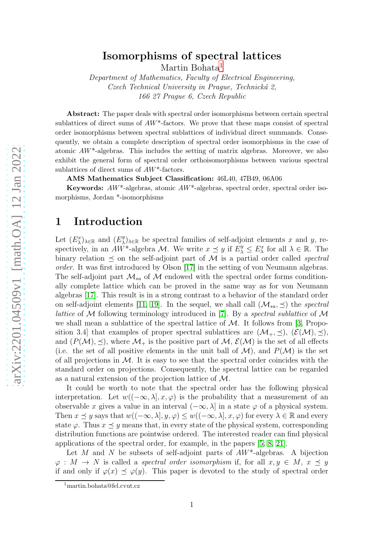## Isomorphisms of spectral lattices

Martin Bohata<sup>[1](#page-0-0)</sup>

Department of Mathematics, Faculty of Electrical Engineering, Czech Technical University in Prague, Technická 2, 166 27 Prague 6, Czech Republic

Abstract: The paper deals with spectral order isomorphisms between certain spectral sublattices of direct sums of  $AW^*$ -factors. We prove that these maps consist of spectral order isomorphisms between spectral sublattices of individual direct summands. Consequently, we obtain a complete description of spectral order isomorphisms in the case of atomic  $AW^*$ -algebras. This includes the setting of matrix algebras. Moreover, we also exhibit the general form of spectral order orthoisomorphisms between various spectral sublattices of direct sums of AW\*-factors.

AMS Mathematics Subject Classification: 46L40, 47B49, 06A06

Keywords:  $AW^*$ -algebras, atomic  $AW^*$ -algebras, spectral order, spectral order isomorphisms, Jordan \*-isomorphisms

### 1 Introduction

Let  $(E_{\lambda}^{x})_{\lambda \in \mathbb{R}}$  and  $(E_{\lambda}^{y})$  $\chi^y_{\lambda}$ <sub> $\lambda \in \mathbb{R}$ </sub> be spectral families of self-adjoint elements x and y, respectively, in an  $AW^*$ -algebra M. We write  $x \preceq y$  if  $E_{\lambda}^y \le E_{\lambda}^x$  for all  $\lambda \in \mathbb{R}$ . The binary relation  $\preceq$  on the self-adjoint part of M is a partial order called spectral order. It was first introduced by Olson [\[17\]](#page-13-0) in the setting of von Neumann algebras. The self-adjoint part  $\mathcal{M}_{sa}$  of  $\mathcal M$  endowed with the spectral order forms conditionally complete lattice which can be proved in the same way as for von Neumann algebras [\[17\]](#page-13-0). This result is in a strong contrast to a behavior of the standard order on self-adjoint elements [\[11,](#page-13-1) [19\]](#page-13-2). In the sequel, we shall call  $(\mathcal{M}_{sa}, \preceq)$  the spectral *lattice* of  $M$  following terminology introduced in [\[7\]](#page-13-3). By a *spectral sublattice* of  $M$ we shall mean a sublattice of the spectral lattice of  $M$ . It follows from [\[3,](#page-13-4) Proposition 3.4] that examples of proper spectral sublattices are  $(\mathcal{M}_+, \preceq), (\mathcal{E}(\mathcal{M}), \preceq),$ and  $(P(M), \preceq)$ , where  $\mathcal{M}_+$  is the positive part of  $\mathcal{M}, \mathcal{E}(\mathcal{M})$  is the set of all effects (i.e. the set of all positive elements in the unit ball of  $\mathcal{M}$ ), and  $P(\mathcal{M})$  is the set of all projections in  $\mathcal M$ . It is easy to see that the spectral order coincides with the standard order on projections. Consequently, the spectral lattice can be regarded as a natural extension of the projection lattice of M.

It could be worth to note that the spectral order has the following physical interpretation. Let  $w((-\infty, \lambda], x, \varphi)$  is the probability that a measurement of an observable x gives a value in an interval  $(-\infty, \lambda]$  in a state  $\varphi$  of a physical system. Then  $x \leq y$  says that  $w((-\infty, \lambda], y, \varphi) \leq w((-\infty, \lambda], x, \varphi)$  for every  $\lambda \in \mathbb{R}$  and every state  $\varphi$ . Thus  $x \preceq y$  means that, in every state of the physical system, corresponding distribution functions are pointwise ordered. The interested reader can find physical applications of the spectral order, for example, in the papers [\[5,](#page-13-5) [8,](#page-13-6) [21\]](#page-14-0).

Let M and N be subsets of self-adjoint parts of  $AW^*$ -algebras. A bijection  $\varphi: M \to N$  is called a *spectral order isomorphism* if, for all  $x, y \in M$ ,  $x \prec y$ if and only if  $\varphi(x) \preceq \varphi(y)$ . This paper is devoted to the study of spectral order

<span id="page-0-0"></span><sup>1</sup>martin.bohata@fel.cvut.cz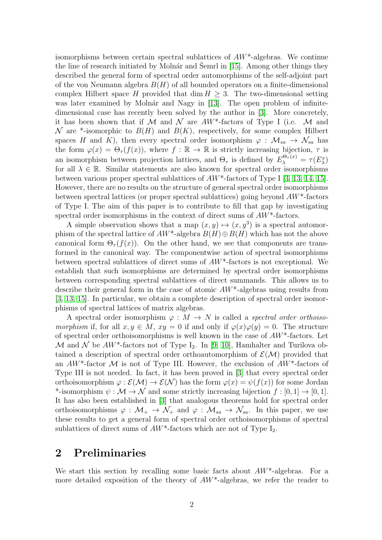isomorphisms between certain spectral sublattices of  $AW^*$ -algebras. We continue the line of research initiated by Molnár and Semrl in  $[15]$ . Among other things they described the general form of spectral order automorphisms of the self-adjoint part of the von Neumann algebra  $B(H)$  of all bounded operators on a finite-dimensional complex Hilbert space H provided that dim  $H \geq 3$ . The two-dimensional setting was later examined by Molnár and Nagy in [\[13\]](#page-13-8). The open problem of infinitedimensional case has recently been solved by the author in [\[3\]](#page-13-4). More concretely, it has been shown that if  $M$  and  $N$  are  $AW^*$ -factors of Type I (i.e.  $M$  and N are \*-isomorphic to  $B(H)$  and  $B(K)$ , respectively, for some complex Hilbert spaces H and K), then every spectral order isomorphism  $\varphi : \mathcal{M}_{sa} \to \mathcal{N}_{sa}$  has the form  $\varphi(x) = \Theta_{\tau}(f(x))$ , where  $f : \mathbb{R} \to \mathbb{R}$  is strictly increasing bijection,  $\tau$  is an isomorphism between projection lattices, and  $\Theta_{\tau}$  is defined by  $E_{\lambda}^{\Theta_{\tau}(x)} = \tau(E_{\lambda}^{x})$ for all  $\lambda \in \mathbb{R}$ . Similar statements are also known for spectral order isomorphisms between various proper spectral sublattices of  $AW^*$ -factors of Type I [\[3,](#page-13-4) [13,](#page-13-8) [14,](#page-13-9) [15\]](#page-13-7). However, there are no results on the structure of general spectral order isomorphisms between spectral lattices (or proper spectral sublattices) going beyond AW\*-factors of Type I. The aim of this paper is to contribute to fill that gap by investigating spectral order isomorphisms in the context of direct sums of  $AW^*$ -factors.

A simple observation shows that a map  $(x, y) \mapsto (x, y^3)$  is a spectral automorphism of the spectral lattice of  $AW^*$ -algebra  $B(H) \oplus B(H)$  which has not the above canonical form  $\Theta_{\tau}(f(x))$ . On the other hand, we see that components are transformed in the canonical way. The componentwise action of spectral isomorphisms between spectral sublattices of direct sums of AW\*-factors is not exceptional. We establish that such isomorphisms are determined by spectral order isomorphisms between corresponding spectral sublattices of direct summands. This allows us to describe their general form in the case of atomic AW\*-algebras using results from [\[3,](#page-13-4) [13,](#page-13-8) [15\]](#page-13-7). In particular, we obtain a complete description of spectral order isomorphisms of spectral lattices of matrix algebras.

A spectral order isomorphism  $\varphi : M \to N$  is called a *spectral order orthoiso*morphism if, for all  $x, y \in M$ ,  $xy = 0$  if and only if  $\varphi(x)\varphi(y) = 0$ . The structure of spectral order orthoisomorphisms is well known in the case of AW\*-factors. Let M and N be  $AW^*$ -factors not of Type I<sub>2</sub>. In [\[9,](#page-13-10) [10\]](#page-13-11), Hamhalter and Turilova obtained a description of spectral order orthoautomorphism of  $\mathcal{E}(\mathcal{M})$  provided that an  $AW^*$ -factor M is not of Type III. However, the exclusion of  $AW^*$ -factors of Type III is not needed. In fact, it has been proved in [\[3\]](#page-13-4) that every spectral order orthoisomorphism  $\varphi : \mathcal{E}(\mathcal{M}) \to \mathcal{E}(\mathcal{N})$  has the form  $\varphi(x) = \psi(f(x))$  for some Jordan \*-isomorphism  $\psi : \mathcal{M} \to \mathcal{N}$  and some strictly increasing bijection  $f : [0, 1] \to [0, 1]$ . It has also been established in [\[3\]](#page-13-4) that analogous theorems hold for spectral order orthoisomorphisms  $\varphi : \mathcal{M}_+ \to \mathcal{N}_+$  and  $\varphi : \mathcal{M}_{sa} \to \mathcal{N}_{sa}$ . In this paper, we use these results to get a general form of spectral order orthoisomorphisms of spectral sublattices of direct sums of  $AW^*$ -factors which are not of Type  $I_2$ .

# 2 Preliminaries

We start this section by recalling some basic facts about  $AW^*$ -algebras. For a more detailed exposition of the theory of  $AW^*$ -algebras, we refer the reader to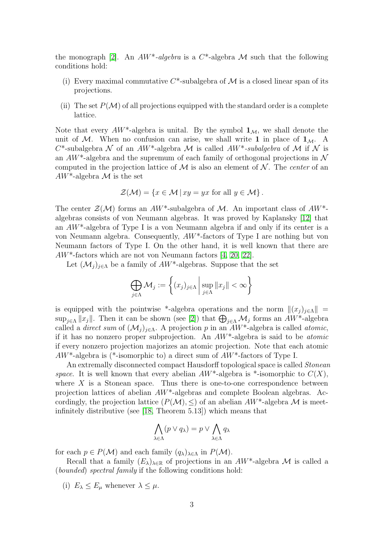the monograph [\[2\]](#page-13-12). An  $AW^*$ -algebra is a  $C^*$ -algebra M such that the following conditions hold:

- (i) Every maximal commutative  $C^*$ -subalgebra of M is a closed linear span of its projections.
- (ii) The set  $P(\mathcal{M})$  of all projections equipped with the standard order is a complete lattice.

Note that every  $AW^*$ -algebra is unital. By the symbol  $\mathbf{1}_M$ , we shall denote the unit of M. When no confusion can arise, we shall write 1 in place of  $1_M$ . A C<sup>\*</sup>-subalgebra N of an AW<sup>\*</sup>-algebra M is called AW<sup>\*</sup>-subalgebra of M if N is an  $AW^*$ -algebra and the supremum of each family of orthogonal projections in  $\mathcal N$ computed in the projection lattice of  $\mathcal M$  is also an element of  $\mathcal N$ . The center of an  $AW^*$ -algebra M is the set

$$
\mathcal{Z}(\mathcal{M}) = \{ x \in \mathcal{M} \, | \, xy = yx \text{ for all } y \in \mathcal{M} \}.
$$

The center  $\mathcal{Z}(\mathcal{M})$  forms an  $AW^*$ -subalgebra of M. An important class of  $AW^*$ algebras consists of von Neumann algebras. It was proved by Kaplansky [\[12\]](#page-13-13) that an AW\*-algebra of Type I is a von Neumann algebra if and only if its center is a von Neumann algebra. Consequently, AW\*-factors of Type I are nothing but von Neumann factors of Type I. On the other hand, it is well known that there are AW\*-factors which are not von Neumann factors [\[4,](#page-13-14) [20,](#page-14-1) [22\]](#page-14-2).

Let  $(\mathcal{M}_i)_{i\in\Lambda}$  be a family of  $AW^*$ -algebras. Suppose that the set

$$
\bigoplus_{j\in\Lambda}\mathcal{M}_j := \left\{ (x_j)_{j\in\Lambda} \, \middle| \, \sup_{j\in\Lambda} \|x_j\| < \infty \right\}
$$

is equipped with the pointwise \*-algebra operations and the norm  $\|(x_j)_{j\in\Lambda}\|$  =  $\sup_{j\in\Lambda}||x_j||$ . Then it can be shown (see [\[2\]](#page-13-12)) that  $\bigoplus_{j\in\Lambda}M_j$  forms an  $AW^*$ -algebra called a *direct sum* of  $(\mathcal{M}_j)_{j\in\Lambda}$ . A projection p in an  $AW^*$ -algebra is called *atomic*, if it has no nonzero proper subprojection. An  $AW^*$ -algebra is said to be *atomic* if every nonzero projection majorizes an atomic projection. Note that each atomic  $AW^*$ -algebra is (\*-isomorphic to) a direct sum of  $AW^*$ -factors of Type I.

An extremally disconnected compact Hausdorff topological space is called *Stonean* space. It is well known that every abelian  $AW^*$ -algebra is  $*$ -isomorphic to  $C(X)$ , where  $X$  is a Stonean space. Thus there is one-to-one correspondence between projection lattices of abelian  $AW^*$ -algebras and complete Boolean algebras. Accordingly, the projection lattice  $(P(\mathcal{M}), \leq)$  of an abelian  $AW^*$ -algebra M is meetinfinitely distributive (see [\[18,](#page-13-15) Theorem 5.13]) which means that

$$
\bigwedge_{\lambda \in \Lambda} (p \vee q_{\lambda}) = p \vee \bigwedge_{\lambda \in \Lambda} q_{\lambda}
$$

for each  $p \in P(\mathcal{M})$  and each family  $(q_{\lambda})_{\lambda \in \Lambda}$  in  $P(\mathcal{M})$ .

Recall that a family  $(E_{\lambda})_{\lambda \in \mathbb{R}}$  of projections in an  $AW^*$ -algebra M is called a (bounded) spectral family if the following conditions hold:

(i)  $E_{\lambda} \leq E_{\mu}$  whenever  $\lambda \leq \mu$ .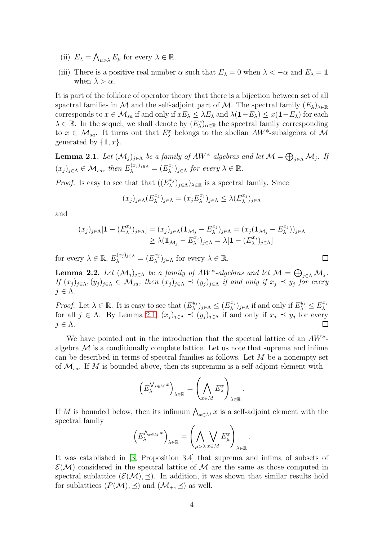- (ii)  $E_{\lambda} = \bigwedge_{\mu > \lambda} E_{\mu}$  for every  $\lambda \in \mathbb{R}$ .
- (iii) There is a positive real number  $\alpha$  such that  $E_{\lambda} = 0$  when  $\lambda < -\alpha$  and  $E_{\lambda} = 1$ when  $\lambda > \alpha$ .

It is part of the folklore of operator theory that there is a bijection between set of all spactral families in M and the self-adjoint part of M. The spectral family  $(E_{\lambda})_{\lambda\in\mathbb{R}}$ corresponds to  $x \in \mathcal{M}_{sa}$  if and only if  $xE_\lambda \leq \lambda E_\lambda$  and  $\lambda(1-E_\lambda) \leq x(1-E_\lambda)$  for each  $\lambda \in \mathbb{R}$ . In the sequel, we shall denote by  $(E_{\lambda}^{x})_{\alpha \in \mathbb{R}}$  the spectral family corresponding to  $x \in \mathcal{M}_{sa}$ . It turns out that  $E_{\lambda}^x$  belongs to the abelian  $AW^*$ -subalgebra of  $\mathcal M$ generated by  $\{1, x\}$ .

<span id="page-3-0"></span>**Lemma 2.1.** Let  $(\mathcal{M}_j)_{j\in\Lambda}$  be a family of AW\*-algebras and let  $\mathcal{M} = \bigoplus_{j\in\Lambda} \mathcal{M}_j$ . If  $(x_j)_{j \in \Lambda} \in \mathcal{M}_{sa}$ , then  $E_{\lambda}^{(x_j)_{j \in \Lambda}} = (E_{\lambda}^{x_j})$  $(\lambda^{x_j})_{j\in\Lambda}$  for every  $\lambda\in\mathbb{R}$ .

*Proof.* Is easy to see that that  $((E_{\lambda}^{x_j})$  $\lambda^{x_j})_{j\in\Lambda}$   $\lambda_{\in\mathbb{R}}$  is a spectral family. Since

$$
(x_j)_{j \in \Lambda} (E_{\lambda}^{x_j})_{j \in \Lambda} = (x_j E_{\lambda}^{x_j})_{j \in \Lambda} \leq \lambda (E_{\lambda}^{x_j})_{j \in \Lambda}
$$

and

$$
(x_j)_{j \in \Lambda} [\mathbf{1} - (E_{\lambda}^{x_j})_{j \in \Lambda}] = (x_j)_{j \in \Lambda} (\mathbf{1}_{\mathcal{M}_j} - E_{\lambda}^{x_j})_{j \in \Lambda} = (x_j (\mathbf{1}_{\mathcal{M}_j} - E_{\lambda}^{x_j}))_{j \in \Lambda}
$$
  
\n
$$
\geq \lambda (\mathbf{1}_{\mathcal{M}_j} - E_{\lambda}^{x_j})_{j \in \Lambda} = \lambda [\mathbf{1} - (E_{\lambda}^{x_j})_{j \in \Lambda}]
$$

 $\Box$ 

for every  $\lambda \in \mathbb{R}$ ,  $E_{\lambda}^{(x_j)_{j \in \Lambda}} = (E_{\lambda}^{x_j})$  $(\lambda^{x_j})_{j\in\Lambda}$  for every  $\lambda\in\mathbb{R}$ .

<span id="page-3-1"></span>**Lemma 2.2.** Let  $(\mathcal{M}_j)_{j \in \Lambda}$  be a family of  $AW^*$ -algebras and let  $\mathcal{M} = \bigoplus_{j \in \Lambda} \mathcal{M}_j$ . If  $(x_j)_{j\in\Lambda}, (y_j)_{j\in\Lambda} \in \mathcal{M}_{sa}$ , then  $(x_j)_{j\in\Lambda} \preceq (y_j)_{j\in\Lambda}$  if and only if  $x_j \preceq y_j$  for every  $j \in \Lambda$ .

*Proof.* Let  $\lambda \in \mathbb{R}$ . It is easy to see that  $(E_{\lambda}^{y_j})$  $(\mathcal{L}_{\lambda}^{y_j})_{j\in\Lambda}\leq (E_{\lambda}^{x_j})$  $(\mathcal{L}_{\lambda}^{x_j})_{j\in\Lambda}$  if and only if  $E_{\lambda}^{y_j} \leq E_{\lambda}^{x_j}$ λ for all  $j \in \Lambda$ . By Lemma [2.1,](#page-3-0)  $(x_j)_{j \in \Lambda} \preceq (y_j)_{j \in \Lambda}$  if and only if  $x_j \preceq y_j$  for every  $j \in \Lambda$ .

We have pointed out in the introduction that the spectral lattice of an  $AW^*$ algebra  $\mathcal M$  is a conditionally complete lattice. Let us note that suprema and infima can be described in terms of spectral families as follows. Let M be a nonempty set of  $\mathcal{M}_{sa}$ . If M is bounded above, then its supremum is a self-adjoint element with

$$
\left(E_{\lambda}^{\bigvee_{x \in M} x}\right)_{\lambda \in \mathbb{R}} = \left(\bigwedge_{x \in M} E_{\lambda}^{x}\right)_{\lambda \in \mathbb{R}}.
$$

If M is bounded below, then its infimum  $\bigwedge_{x\in M} x$  is a self-adjoint element with the spectral family

$$
\left(E_{\lambda}^{\bigwedge_{x \in M} x}\right)_{\lambda \in \mathbb{R}} = \left(\bigwedge_{\mu > \lambda} \bigvee_{x \in M} E_{\mu}^{x}\right)_{\lambda \in \mathbb{R}}.
$$

It was established in [\[3,](#page-13-4) Proposition 3.4] that suprema and infima of subsets of  $\mathcal{E}(\mathcal{M})$  considered in the spectral lattice of  $\mathcal M$  are the same as those computed in spectral sublattice  $(\mathcal{E}(\mathcal{M}), \preceq)$ . In addition, it was shown that similar results hold for sublattices  $(P(M), \preceq)$  and  $(M_+, \preceq)$  as well.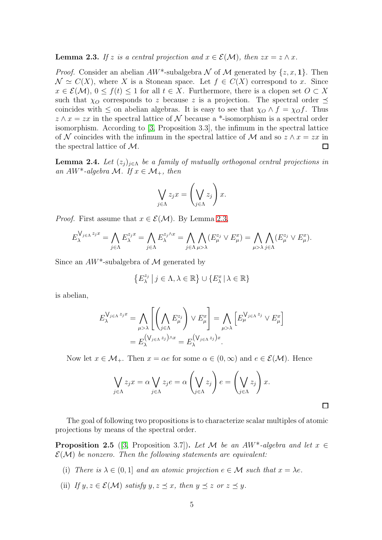<span id="page-4-0"></span>**Lemma 2.3.** If z is a central projection and  $x \in \mathcal{E}(\mathcal{M})$ , then  $zx = z \wedge x$ .

*Proof.* Consider an abelian  $AW^*$ -subalgebra N of M generated by  $\{z, x, 1\}$ . Then  $\mathcal{N} \simeq C(X)$ , where X is a Stonean space. Let  $f \in C(X)$  correspond to x. Since  $x \in \mathcal{E}(\mathcal{M}), 0 \leq f(t) \leq 1$  for all  $t \in X$ . Furthermore, there is a clopen set  $O \subset X$ such that  $\chi_O$  corresponds to z because z is a projection. The spectral order  $\preceq$ coincides with  $\leq$  on abelian algebras. It is easy to see that  $\chi_O \wedge f = \chi_O f$ . Thus  $z \wedge x = zx$  in the spectral lattice of N because a \*-isomorphism is a spectral order isomorphism. According to [\[3,](#page-13-4) Proposition 3.3], the infimum in the spectral lattice of N coincides with the infimum in the spectral lattice of M and so  $z \wedge x = zx$  in the spectral lattice of M.  $\Box$ 

<span id="page-4-2"></span>**Lemma 2.4.** Let  $(z_j)_{j\in\Lambda}$  be a family of mutually orthogonal central projections in an AW<sup>\*</sup>-algebra M. If  $x \in M_+$ , then

$$
\bigvee_{j\in\Lambda}z_jx=\left(\bigvee_{j\in\Lambda}z_j\right)x.
$$

*Proof.* First assume that  $x \in \mathcal{E}(\mathcal{M})$ . By Lemma [2.3,](#page-4-0)

$$
E_{\lambda}^{\bigvee_{j\in\Lambda}z_{j}x} = \bigwedge_{j\in\Lambda} E_{\lambda}^{z_{j}x} = \bigwedge_{j\in\Lambda} E_{\lambda}^{z_{j}\wedge x} = \bigwedge_{j\in\Lambda} \bigwedge_{\mu>\lambda} (E_{\mu}^{z_{j}} \vee E_{\mu}^{x}) = \bigwedge_{\mu>\lambda} \bigwedge_{j\in\Lambda} (E_{\mu}^{z_{j}} \vee E_{\mu}^{x}).
$$

Since an  $AW^*$ -subalgebra of M generated by

$$
\left\{E_{\lambda}^{z_j} \mid j \in \Lambda, \lambda \in \mathbb{R}\right\} \cup \left\{E_{\lambda}^x \mid \lambda \in \mathbb{R}\right\}
$$

is abelian,

$$
E_{\lambda}^{\bigvee_{j\in\Lambda}z_{j}x} = \bigwedge_{\mu>\lambda} \left[ \left( \bigwedge_{j\in\Lambda} E_{\mu}^{z_{j}} \right) \vee E_{\mu}^{x} \right] = \bigwedge_{\mu>\lambda} \left[ E_{\mu}^{\bigvee_{j\in\Lambda}z_{j}} \vee E_{\mu}^{x} \right]
$$

$$
= E_{\lambda}^{\bigvee_{j\in\Lambda}z_{j}\bigwedge_{x}x} = E_{\lambda}^{\bigvee_{j\in\Lambda}z_{j}\big)x}.
$$

Now let  $x \in \mathcal{M}_+$ . Then  $x = \alpha e$  for some  $\alpha \in (0, \infty)$  and  $e \in \mathcal{E}(\mathcal{M})$ . Hence

$$
\bigvee_{j\in\Lambda}z_jx=\alpha\bigvee_{j\in\Lambda}z_je=\alpha\left(\bigvee_{j\in\Lambda}z_j\right)e=\left(\bigvee_{j\in\Lambda}z_j\right)x.
$$

 $\Box$ 

The goal of following two propositions is to characterize scalar multiples of atomic projections by means of the spectral order.

<span id="page-4-1"></span>**Proposition 2.5** ([\[3,](#page-13-4) Proposition 3.7]). Let M be an AW<sup>\*</sup>-algebra and let  $x \in$  $\mathcal{E}(\mathcal{M})$  be nonzero. Then the following statements are equivalent:

- (i) There is  $\lambda \in (0,1]$  and an atomic projection  $e \in \mathcal{M}$  such that  $x = \lambda e$ .
- (ii) If  $y, z \in \mathcal{E}(\mathcal{M})$  satisfy  $y, z \preceq x$ , then  $y \preceq z$  or  $z \preceq y$ .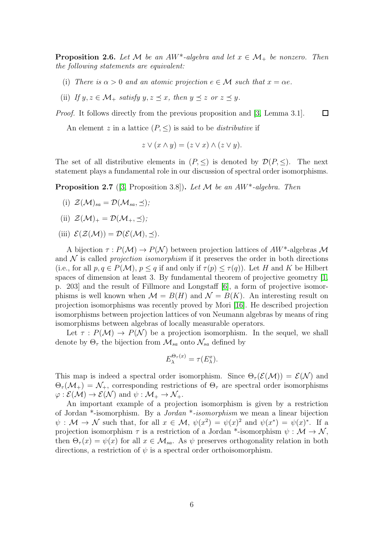<span id="page-5-1"></span>**Proposition 2.6.** Let M be an AW<sup>\*</sup>-algebra and let  $x \in M_+$  be nonzero. Then the following statements are equivalent:

- (i) There is  $\alpha > 0$  and an atomic projection  $e \in \mathcal{M}$  such that  $x = \alpha e$ .
- (ii) If  $y, z \in \mathcal{M}_+$  satisfy  $y, z \prec x$ , then  $y \prec z$  or  $z \prec y$ .

Proof. It follows directly from the previous proposition and [\[3,](#page-13-4) Lemma 3.1].  $\Box$ 

An element z in a lattice  $(P, \leq)$  is said to be *distributive* if

$$
z \vee (x \wedge y) = (z \vee x) \wedge (z \vee y).
$$

The set of all distributive elements in  $(P, \leq)$  is denoted by  $\mathcal{D}(P, \leq)$ . The next statement plays a fundamental role in our discussion of spectral order isomorphisms.

<span id="page-5-0"></span>**Proposition 2.7** ([\[3,](#page-13-4) Proposition 3.8]). Let  $M$  be an  $AW^*$ -algebra. Then

- (i)  $\mathcal{Z}(\mathcal{M})_{sa} = \mathcal{D}(\mathcal{M}_{sa}, \prec);$
- (ii)  $\mathcal{Z}(\mathcal{M})_+ = \mathcal{D}(\mathcal{M}_+, \preceq);$
- (iii)  $\mathcal{E}(\mathcal{Z}(\mathcal{M})) = \mathcal{D}(\mathcal{E}(\mathcal{M}), \prec).$

A bijection  $\tau: P(\mathcal{M}) \to P(\mathcal{N})$  between projection lattices of  $AW^*$ -algebras M and  $\mathcal N$  is called projection isomorphism if it preserves the order in both directions (i.e., for all  $p, q \in P(\mathcal{M})$ ,  $p \leq q$  if and only if  $\tau(p) \leq \tau(q)$ ). Let H and K be Hilbert spaces of dimension at least 3. By fundamental theorem of projective geometry [\[1,](#page-13-16) p. 203] and the result of Fillmore and Longstaff [\[6\]](#page-13-17), a form of projective isomorphisms is well known when  $\mathcal{M} = B(H)$  and  $\mathcal{N} = B(K)$ . An interesting result on projection isomorphisms was recently proved by Mori [\[16\]](#page-13-18). He described projection isomorphisms between projection lattices of von Neumann algebras by means of ring isomorphisms between algebras of locally measurable operators.

Let  $\tau : P(M) \to P(N)$  be a projection isomorphism. In the sequel, we shall denote by  $\Theta_{\tau}$  the bijection from  $\mathcal{M}_{sa}$  onto  $\mathcal{N}_{sa}$  defined by

$$
E_{\lambda}^{\Theta_{\tau}(x)} = \tau(E_{\lambda}^{x}).
$$

This map is indeed a spectral order isomorphism. Since  $\Theta_{\tau}(\mathcal{E}(\mathcal{M})) = \mathcal{E}(\mathcal{N})$  and  $\Theta_{\tau}(\mathcal{M}_{+}) = \mathcal{N}_{+}$ , corresponding restrictions of  $\Theta_{\tau}$  are spectral order isomorphisms  $\varphi : \mathcal{E}(\mathcal{M}) \to \mathcal{E}(\mathcal{N})$  and  $\psi : \mathcal{M}_+ \to \mathcal{N}_+$ .

An important example of a projection isomorphism is given by a restriction of Jordan \*-isomorphism. By a Jordan \*-isomorphism we mean a linear bijection  $\psi : \mathcal{M} \to \mathcal{N}$  such that, for all  $x \in \mathcal{M}$ ,  $\psi(x^2) = \psi(x)^2$  and  $\psi(x^*) = \psi(x)^*$ . If a projection isomorphism  $\tau$  is a restriction of a Jordan \*-isomorphism  $\psi : \mathcal{M} \to \mathcal{N}$ , then  $\Theta_{\tau}(x) = \psi(x)$  for all  $x \in M_{sa}$ . As  $\psi$  preserves orthogonality relation in both directions, a restriction of  $\psi$  is a spectral order orthoisomorphism.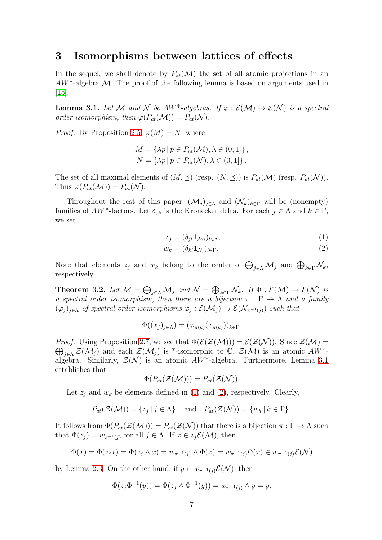### 3 Isomorphisms between lattices of effects

In the sequel, we shall denote by  $P_{at}(\mathcal{M})$  the set of all atomic projections in an  $AW^*$ -algebra M. The proof of the following lemma is based on arguments used in [\[15\]](#page-13-7).

<span id="page-6-0"></span>**Lemma 3.1.** Let M and N be  $AW^*$ -algebras. If  $\varphi : \mathcal{E}(\mathcal{M}) \to \mathcal{E}(\mathcal{N})$  is a spectral order isomorphism, then  $\varphi(P_{at}(\mathcal{M})) = P_{at}(\mathcal{N}).$ 

*Proof.* By Proposition [2.5,](#page-4-1)  $\varphi(M) = N$ , where

$$
M = \{\lambda p \mid p \in P_{at}(\mathcal{M}), \lambda \in (0, 1]\},
$$
  

$$
N = \{\lambda p \mid p \in P_{at}(\mathcal{N}), \lambda \in (0, 1]\}.
$$

The set of all maximal elements of  $(M, \preceq)$  (resp.  $(N, \preceq)$ ) is  $P_{at}(\mathcal{M})$  (resp.  $P_{at}(\mathcal{N})$ ). Thus  $\varphi(P_{at}(\mathcal{M})) = P_{at}(\mathcal{N}).$ 

Throughout the rest of this paper,  $(\mathcal{M}_i)_{i\in\Lambda}$  and  $(\mathcal{N}_k)_{k\in\Gamma}$  will be (nonempty) families of  $AW^*$ -factors. Let  $\delta_{jk}$  is the Kronecker delta. For each  $j \in \Lambda$  and  $k \in \Gamma$ , we set

<span id="page-6-2"></span><span id="page-6-1"></span>
$$
z_j = (\delta_{jl} \mathbf{1}_{\mathcal{M}_l})_{l \in \Lambda},\tag{1}
$$

$$
w_k = (\delta_{kl} \mathbf{1}_{\mathcal{N}_l})_{l \in \Gamma}.
$$
\n<sup>(2)</sup>

Note that elements  $z_j$  and  $w_k$  belong to the center of  $\bigoplus_{j\in\Lambda}M_j$  and  $\bigoplus_{k\in\Gamma}\mathcal{N}_k$ , respectively.

<span id="page-6-3"></span>**Theorem 3.2.** Let  $\mathcal{M} = \bigoplus_{j \in \Lambda} \mathcal{M}_j$  and  $\mathcal{N} = \bigoplus_{k \in \Gamma} \mathcal{N}_k$ . If  $\Phi : \mathcal{E}(\mathcal{M}) \to \mathcal{E}(\mathcal{N})$  is a spectral order isomorphism, then there are a bijection  $\pi : \Gamma \to \Lambda$  and a family  $(\varphi_j)_{j\in\Lambda}$  of spectral order isomorphisms  $\varphi_j:\mathcal{E}(\mathcal{M}_j)\to\mathcal{E}(\mathcal{N}_{\pi^{-1}(j)})$  such that

$$
\Phi((x_j)_{j\in\Lambda})=(\varphi_{\pi(k)}(x_{\pi(k)}))_{k\in\Gamma}.
$$

*Proof.* Using Proposition [2.7,](#page-5-0) we see that  $\Phi(\mathcal{E}(\mathcal{Z}(\mathcal{M}))) = \mathcal{E}(\mathcal{Z}(\mathcal{N}))$ . Since  $\mathcal{Z}(\mathcal{M}) =$  $\bigoplus_{j\in\Lambda}\mathcal{Z}(\mathcal{M}_j)$  and each  $\mathcal{Z}(\mathcal{M}_j)$  is \*-isomorphic to  $\mathbb{C}, \mathcal{Z}(\mathcal{M})$  is an atomic  $AW^*$ algebra. Similarly,  $\mathcal{Z}(\mathcal{N})$  is an atomic  $AW^*$ -algebra. Furthermore, Lemma [3.1](#page-6-0) establishes that

$$
\Phi(P_{at}(\mathcal{Z}(\mathcal{M})))=P_{at}(\mathcal{Z}(\mathcal{N})).
$$

Let  $z_i$  and  $w_k$  be elements defined in [\(1\)](#page-6-1) and [\(2\)](#page-6-2), respectively. Clearly,

$$
P_{at}(\mathcal{Z}(\mathcal{M})) = \{z_j \mid j \in \Lambda\} \quad \text{and} \quad P_{at}(\mathcal{Z}(\mathcal{N})) = \{w_k \mid k \in \Gamma\}.
$$

It follows from  $\Phi(P_{at}(\mathcal{Z}(\mathcal{M}))) = P_{at}(\mathcal{Z}(\mathcal{N}))$  that there is a bijection  $\pi : \Gamma \to \Lambda$  such that  $\Phi(z_j) = w_{\pi^{-1}(j)}$  for all  $j \in \Lambda$ . If  $x \in z_j \mathcal{E}(\mathcal{M})$ , then

$$
\Phi(x) = \Phi(z_j x) = \Phi(z_j \wedge x) = w_{\pi^{-1}(j)} \wedge \Phi(x) = w_{\pi^{-1}(j)} \Phi(x) \in w_{\pi^{-1}(j)} \mathcal{E}(\mathcal{N})
$$

by Lemma [2.3.](#page-4-0) On the other hand, if  $y \in w_{\pi^{-1}(i)}\mathcal{E}(\mathcal{N})$ , then

$$
\Phi(z_j \Phi^{-1}(y)) = \Phi(z_j \wedge \Phi^{-1}(y)) = w_{\pi^{-1}(j)} \wedge y = y.
$$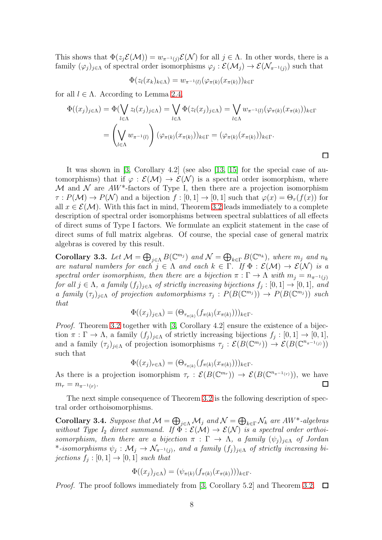This shows that  $\Phi(z_j\mathcal{E}(\mathcal{M}))=w_{\pi^{-1}(j)}\mathcal{E}(\mathcal{N})$  for all  $j\in\Lambda$ . In other words, there is a family  $(\varphi_j)_{j\in\Lambda}$  of spectral order isomorphisms  $\varphi_j:\mathcal{E}(\mathcal{M}_j)\to\mathcal{E}(\mathcal{N}_{\pi^{-1}(j)})$  such that

$$
\Phi(z_l(x_k)_{k\in\Lambda})=w_{\pi^{-1}(l)}(\varphi_{\pi(k)}(x_{\pi(k)}))_{k\in\Gamma}
$$

for all  $l \in \Lambda$ . According to Lemma [2.4,](#page-4-2)

$$
\Phi((x_j)_{j \in \Lambda}) = \Phi(\bigvee_{l \in \Lambda} z_l(x_j)_{j \in \Lambda}) = \bigvee_{l \in \Lambda} \Phi(z_l(x_j)_{j \in \Lambda}) = \bigvee_{l \in \Lambda} w_{\pi^{-1}(l)}(\varphi_{\pi(k)}(x_{\pi(k)}))_{k \in \Gamma}
$$
\n
$$
= \left(\bigvee_{l \in \Lambda} w_{\pi^{-1}(l)}\right) (\varphi_{\pi(k)}(x_{\pi(k)}))_{k \in \Gamma} = (\varphi_{\pi(k)}(x_{\pi(k)}))_{k \in \Gamma}.
$$

It was shown in [\[3,](#page-13-4) Corollary 4.2] (see also [\[13,](#page-13-8) [15\]](#page-13-7) for the special case of automorphisms) that if  $\varphi : \mathcal{E}(\mathcal{M}) \to \mathcal{E}(\mathcal{N})$  is a spectral order isomorphism, where M and N are  $AW^*$ -factors of Type I, then there are a projection isomorphism  $\tau: P(\mathcal{M}) \to P(\mathcal{N})$  and a bijection  $f: [0,1] \to [0,1]$  such that  $\varphi(x) = \Theta_{\tau}(f(x))$  for all  $x \in \mathcal{E}(\mathcal{M})$ . With this fact in mind, Theorem [3.2](#page-6-3) leads immediately to a complete description of spectral order isomorphisms between spectral sublattices of all effects of direct sums of Type I factors. We formulate an explicit statement in the case of direct sums of full matrix algebras. Of course, the special case of general matrix algebras is covered by this result.

Corollary 3.3. Let  $\mathcal{M} = \bigoplus_{j \in \Lambda} B(\mathbb{C}^{m_j})$  and  $\mathcal{N} = \bigoplus_{k \in \Gamma} B(\mathbb{C}^{n_k})$ , where  $m_j$  and  $n_k$ are natural numbers for each  $j \in \Lambda$  and each  $k \in \Gamma$ . If  $\Phi : \mathcal{E}(\mathcal{M}) \to \mathcal{E}(\mathcal{N})$  is a spectral order isomorphism, then there are a bijection  $\pi : \Gamma \to \Lambda$  with  $m_i = n_{\pi^{-1}(i)}$ for all  $j \in \Lambda$ , a family  $(f_j)_{j \in \Lambda}$  of strictly increasing bijections  $f_j : [0,1] \to [0,1]$ , and a family  $(\tau_j)_{j\in\Lambda}$  of projection automorphisms  $\tau_j : P(B(\mathbb{C}^{m_j})) \to P(B(\mathbb{C}^{m_j}))$  such that

$$
\Phi((x_j)_{j\in\Lambda}) = (\Theta_{\tau_{\pi(k)}}(f_{\pi(k)}(x_{\pi(k)})))_{k\in\Gamma}.
$$

Proof. Theorem [3.2](#page-6-3) together with [\[3,](#page-13-4) Corollary 4.2] ensure the existence of a bijection  $\pi : \Gamma \to \Lambda$ , a family  $(f_j)_{j \in \Lambda}$  of strictly increasing bijections  $f_j : [0,1] \to [0,1]$ , and a family  $(\tau_j)_{j\in\Lambda}$  of projection isomorphisms  $\tau_j : \mathcal{E}(B(\mathbb{C}^{m_j})) \to \mathcal{E}(B(\mathbb{C}^{n_{\pi^{-1}(j)}}))$ such that

$$
\Phi((x_j)_{r \in \Lambda}) = (\Theta_{\tau_{\pi(k)}}(f_{\pi(k)}(x_{\pi(k)})))_{k \in \Gamma}.
$$

As there is a projection isomorphism  $\tau_r : \mathcal{E}(B(\mathbb{C}^{m_r})) \to \mathcal{E}(B(\mathbb{C}^{n_{\pi^{-1}(r)}}))$ , we have  $m_r = n_{\pi^{-1}(r)}$ . П

The next simple consequence of Theorem [3.2](#page-6-3) is the following description of spectral order orthoisomorphisms.

**Corollary 3.4.** Suppose that  $\mathcal{M} = \bigoplus_{j \in \Lambda} \mathcal{M}_j$  and  $\mathcal{N} = \bigoplus_{k \in \Gamma} \mathcal{N}_k$  are  $AW^*$ -algebras without Type I<sub>2</sub> direct summand. If  $\tilde{\Phi}: \mathcal{E}(\mathcal{M}) \to \mathcal{E}(\mathcal{N})$  is a spectral order orthoisomorphism, then there are a bijection  $\pi : \Gamma \to \Lambda$ , a family  $(\psi_j)_{j \in \Lambda}$  of Jordan \*-isomorphisms  $\psi_j: \mathcal{M}_j \to \mathcal{N}_{\pi^{-1}(j)}$ , and a family  $(f_j)_{j \in \Lambda}$  of strictly increasing bijections  $f_j : [0,1] \to [0,1]$  such that

$$
\Phi((x_j)_{j\in\Lambda})=(\psi_{\pi(k)}(f_{\pi(k)}(x_{\pi(k)})))_{k\in\Gamma}.
$$

*Proof.* The proof follows immediately from [\[3,](#page-13-4) Corollary 5.2] and Theorem [3.2.](#page-6-3)  $\Box$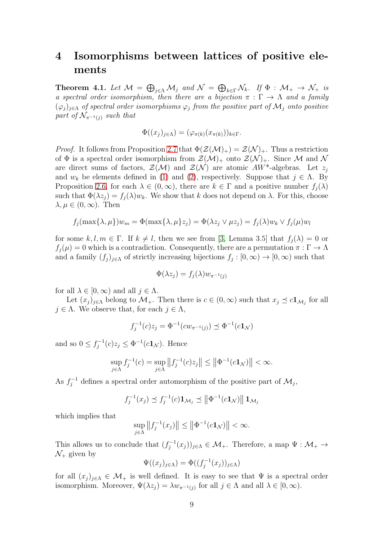# 4 Isomorphisms between lattices of positive elements

<span id="page-8-0"></span>**Theorem 4.1.** Let  $\mathcal{M} = \bigoplus_{j \in \Lambda} \mathcal{M}_j$  and  $\mathcal{N} = \bigoplus_{k \in \Gamma} \mathcal{N}_k$ . If  $\Phi : \mathcal{M}_+ \to \mathcal{N}_+$  is a spectral order isomorphism, then there are a bijection  $\pi : \Gamma \to \Lambda$  and a family  $(\varphi_j)_{j\in\Lambda}$  of spectral order isomorphisms  $\varphi_j$  from the positive part of  $\mathcal{M}_j$  onto positive part of  $\mathcal{N}_{\pi^{-1}(i)}$  such that

$$
\Phi((x_j)_{j \in \Lambda}) = (\varphi_{\pi(k)}(x_{\pi(k)}))_{k \in \Gamma}.
$$

*Proof.* It follows from Proposition [2.7](#page-5-0) that  $\Phi(\mathcal{Z}(\mathcal{M})_+) = \mathcal{Z}(\mathcal{N})_+$ . Thus a restriction of  $\Phi$  is a spectral order isomorphism from  $\mathcal{Z}(\mathcal{M})_+$  onto  $\mathcal{Z}(\mathcal{N})_+$ . Since M and N are direct sums of factors,  $\mathcal{Z}(\mathcal{M})$  and  $\mathcal{Z}(\mathcal{N})$  are atomic  $AW^*$ -algebras. Let  $z_i$ and  $w_k$  be elements defined in [\(1\)](#page-6-1) and [\(2\)](#page-6-2), respectively. Suppose that  $j \in \Lambda$ . By Proposition [2.6,](#page-5-1) for each  $\lambda \in (0,\infty)$ , there are  $k \in \Gamma$  and a positive number  $f_i(\lambda)$ such that  $\Phi(\lambda z_i) = f_i(\lambda) w_k$ . We show that k does not depend on  $\lambda$ . For this, choose  $\lambda, \mu \in (0, \infty)$ . Then

$$
f_j(\max\{\lambda,\mu\})w_m = \Phi(\max\{\lambda,\mu\}z_j) = \Phi(\lambda z_j \vee \mu z_j) = f_j(\lambda)w_k \vee f_j(\mu)w_l
$$

for some k, l,  $m \in \Gamma$ . If  $k \neq l$ , then we see from [\[3,](#page-13-4) Lemma 3.5] that  $f_i(\lambda) = 0$  or  $f_j(\mu) = 0$  which is a contradiction. Consequently, there are a permutation  $\pi : \Gamma \to \Lambda$ and a family  $(f_j)_{j\in\Lambda}$  of strictly increasing bijections  $f_j : [0, \infty) \to [0, \infty)$  such that

$$
\Phi(\lambda z_j) = f_j(\lambda) w_{\pi^{-1}(j)}
$$

for all  $\lambda \in [0, \infty)$  and all  $j \in \Lambda$ .

Let  $(x_j)_{j\in\Lambda}$  belong to  $\mathcal{M}_+$ . Then there is  $c\in(0,\infty)$  such that  $x_j \preceq c\mathbf{1}_{\mathcal{M}_j}$  for all  $j \in \Lambda$ . We observe that, for each  $j \in \Lambda$ ,

$$
f_j^{-1}(c)z_j = \Phi^{-1}(cw_{\pi^{-1}(j)}) \preceq \Phi^{-1}(c\mathbf{1}_{\mathcal{N}})
$$

and so  $0 \le f_j^{-1}(c)z_j \le \Phi^{-1}(c\mathbf{1}_{\mathcal{N}})$ . Hence

$$
\sup_{j\in\Lambda}f_j^{-1}(c)=\sup_{j\in\Lambda}\left\|f_j^{-1}(c)z_j\right\|\leq\left\|\Phi^{-1}(c\mathbf{1}_{\mathcal{N}})\right\|<\infty.
$$

As  $f_j^{-1}$  defines a spectral order automorphism of the positive part of  $\mathcal{M}_j$ ,

$$
f_j^{-1}(x_j) \preceq f_j^{-1}(c) \mathbf{1}_{\mathcal{M}_j} \preceq \left\| \Phi^{-1}(c \mathbf{1}_{\mathcal{N}}) \right\| \mathbf{1}_{\mathcal{M}_j}
$$

which implies that

$$
\sup_{j\in\Lambda}||f_j^{-1}(x_j)|| \le ||\Phi^{-1}(c\mathbf{1}_{\mathcal{N}})|| < \infty.
$$

This allows us to conclude that  $(f_j^{-1}(x_j))_{j\in\Lambda} \in \mathcal{M}_+$ . Therefore, a map  $\Psi : \mathcal{M}_+ \to$  $\mathcal{N}_+$  given by

$$
\Psi((x_j)_{j \in \Lambda}) = \Phi((f_j^{-1}(x_j))_{j \in \Lambda})
$$

for all  $(x_j)_{j\in\Lambda} \in \mathcal{M}_+$  is well defined. It is easy to see that  $\Psi$  is a spectral order isomorphism. Moreover,  $\Psi(\lambda z_j) = \lambda w_{\pi^{-1}(j)}$  for all  $j \in \Lambda$  and all  $\lambda \in [0, \infty)$ .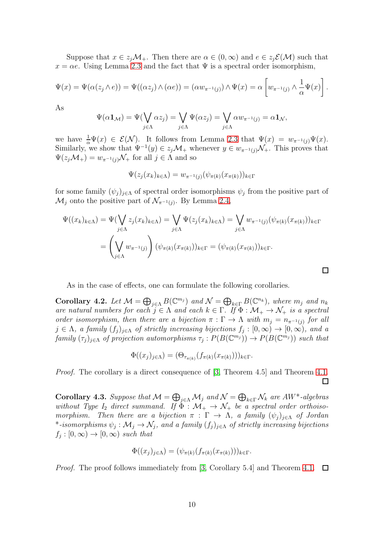Suppose that  $x \in z_j \mathcal{M}_+$ . Then there are  $\alpha \in (0,\infty)$  and  $e \in z_j \mathcal{E}(\mathcal{M})$  such that  $x = \alpha e$ . Using Lemma [2.3](#page-4-0) and the fact that  $\Psi$  is a spectral order isomorphism,

$$
\Psi(x) = \Psi(\alpha(z_j \wedge e)) = \Psi((\alpha z_j) \wedge (\alpha e)) = (\alpha w_{\pi^{-1}(j)}) \wedge \Psi(x) = \alpha \left[ w_{\pi^{-1}(j)} \wedge \frac{1}{\alpha} \Psi(x) \right].
$$

As

$$
\Psi(\alpha \mathbf{1}_{\mathcal{M}}) = \Psi(\bigvee_{j \in \Lambda} \alpha z_j) = \bigvee_{j \in \Lambda} \Psi(\alpha z_j) = \bigvee_{j \in \Lambda} \alpha w_{\pi^{-1}(j)} = \alpha \mathbf{1}_{\mathcal{N}},
$$

we have  $\frac{1}{\alpha}\Psi(x) \in \mathcal{E}(\mathcal{N})$ . It follows from Lemma [2.3](#page-4-0) that  $\Psi(x) = w_{\pi^{-1}(j)}\Psi(x)$ . Similarly, we show that  $\Psi^{-1}(y) \in z_j \mathcal{M}_+$  whenever  $y \in w_{\pi^{-1}(j)} \mathcal{N}_+$ . This proves that  $\Psi(z_i\mathcal{M}_+) = w_{\pi^{-1}(i)}\mathcal{N}_+$  for all  $j \in \Lambda$  and so

$$
\Psi(z_j(x_k)_{k\in\Lambda})=w_{\pi^{-1}(j)}(\psi_{\pi(k)}(x_{\pi(k)}))_{k\in\Gamma}
$$

for some family  $(\psi_j)_{j\in\Lambda}$  of spectral order isomorphisms  $\psi_j$  from the positive part of  $\mathcal{M}_j$  onto the positive part of  $\mathcal{N}_{\pi^{-1}(j)}$ . By Lemma [2.4,](#page-4-2)

$$
\Psi((x_k)_{k \in \Lambda}) = \Psi(\bigvee_{j \in \Lambda} z_j(x_k)_{k \in \Lambda}) = \bigvee_{j \in \Lambda} \Psi(z_j(x_k)_{k \in \Lambda}) = \bigvee_{j \in \Lambda} w_{\pi^{-1}(j)}(\psi_{\pi(k)}(x_{\pi(k)}))_{k \in \Gamma}
$$

$$
= \left(\bigvee_{j \in \Lambda} w_{\pi^{-1}(j)}\right) (\psi_{\pi(k)}(x_{\pi(k)}))_{k \in \Gamma} = (\psi_{\pi(k)}(x_{\pi(k)}))_{k \in \Gamma}.
$$

 $\Box$ 

As in the case of effects, one can formulate the following corollaries.

Corollary 4.2. Let  $\mathcal{M} = \bigoplus_{j \in \Lambda} B(\mathbb{C}^{m_j})$  and  $\mathcal{N} = \bigoplus_{k \in \Gamma} B(\mathbb{C}^{n_k})$ , where  $m_j$  and  $n_k$ are natural numbers for each  $j \in \Lambda$  and each  $k \in \Gamma$ . If  $\Phi : \mathcal{M}_+ \to \mathcal{N}_+$  is a spectral order isomorphism, then there are a bijection  $\pi : \Gamma \to \Lambda$  with  $m_j = n_{\pi^{-1}(j)}$  for all  $j \in \Lambda$ , a family  $(f_j)_{j \in \Lambda}$  of strictly increasing bijections  $f_j : [0, \infty) \to [0, \infty)$ , and a  $family (\tau_j)_{j\in\Lambda}$  of projection automorphisms  $\tau_j: P(B(\mathbb{C}^{m_j})) \to P(B(\mathbb{C}^{m_j}))$  such that

$$
\Phi((x_j)_{j\in\Lambda}) = (\Theta_{\tau_{\pi(k)}}(f_{\pi(k)}(x_{\pi(k)})))_{k\in\Gamma}.
$$

Proof. The corollary is a direct consequence of [\[3,](#page-13-4) Theorem 4.5] and Theorem [4.1.](#page-8-0) П

**Corollary 4.3.** Suppose that  $\mathcal{M} = \bigoplus_{j \in \Lambda} \mathcal{M}_j$  and  $\mathcal{N} = \bigoplus_{k \in \Gamma} \mathcal{N}_k$  are  $AW^*$ -algebras without Type I<sub>2</sub> direct summand. If  $\Phi : \mathcal{M}_+ \to \mathcal{N}_+$  be a spectral order orthoisomorphism. Then there are a bijection  $\pi : \Gamma \to \Lambda$ , a family  $(\psi_j)_{j \in \Lambda}$  of Jordan \*-isomorphisms  $\psi_j: \mathcal{M}_j \to \mathcal{N}_j$ , and a family  $(f_j)_{j \in \Lambda}$  of strictly increasing bijections  $f_j : [0, \infty) \to [0, \infty)$  such that

$$
\Phi((x_j)_{j\in\Lambda})=(\psi_{\pi(k)}(f_{\pi(k)}(x_{\pi(k)})))_{k\in\Gamma}.
$$

Proof. The proof follows immediately from [\[3,](#page-13-4) Corollary 5.4] and Theorem [4.1.](#page-8-0) 口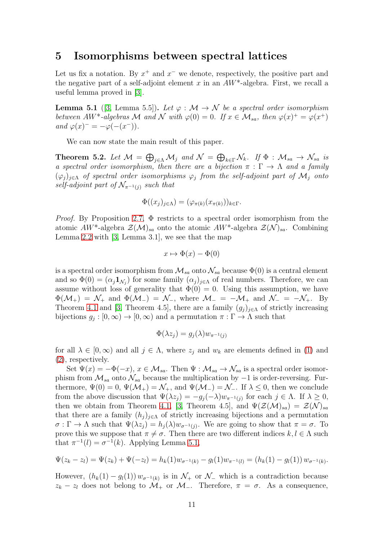### 5 Isomorphisms between spectral lattices

Let us fix a notation. By  $x^+$  and  $x^-$  we denote, respectively, the positive part and the negative part of a self-adjoint element x in an  $AW^*$ -algebra. First, we recall a useful lemma proved in [\[3\]](#page-13-4).

<span id="page-10-0"></span>**Lemma 5.1** ([\[3,](#page-13-4) Lemma 5.5]). Let  $\varphi : \mathcal{M} \to \mathcal{N}$  be a spectral order isomorphism between AW<sup>\*</sup>-algebras M and N with  $\varphi(0) = 0$ . If  $x \in M_{sa}$ , then  $\varphi(x)^{+} = \varphi(x^{+})$ and  $\varphi(x)^{-} = -\varphi(-(x^{-}))$ .

We can now state the main result of this paper.

<span id="page-10-1"></span>**Theorem 5.2.** Let  $\mathcal{M} = \bigoplus_{j \in \Lambda} \mathcal{M}_j$  and  $\mathcal{N} = \bigoplus_{k \in \Gamma} \mathcal{N}_k$ . If  $\Phi : \mathcal{M}_{sa} \to \mathcal{N}_{sa}$  is a spectral order isomorphism, then there are a bijection  $\pi : \Gamma \to \Lambda$  and a family  $(\varphi_j)_{j\in\Lambda}$  of spectral order isomorphisms  $\varphi_j$  from the self-adjoint part of  $\mathcal{M}_j$  onto self-adjoint part of  $\mathcal{N}_{\pi^{-1}(j)}$  such that

$$
\Phi((x_j)_{j\in\Lambda})=(\varphi_{\pi(k)}(x_{\pi(k)}))_{k\in\Gamma}.
$$

*Proof.* By Proposition [2.7,](#page-5-0)  $\Phi$  restricts to a spectral order isomorphism from the atomic  $AW^*$ -algebra  $\mathcal{Z}(\mathcal{M})_{sa}$  onto the atomic  $AW^*$ -algebra  $\mathcal{Z}(\mathcal{N})_{sa}$ . Combining Lemma [2.2](#page-3-1) with [\[3,](#page-13-4) Lemma 3.1], we see that the map

$$
x \mapsto \Phi(x) - \Phi(0)
$$

is a spectral order isomorphism from  $\mathcal{M}_{sa}$  onto  $\mathcal{N}_{sa}$  because  $\Phi(0)$  is a central element and so  $\Phi(0) = (\alpha_j \mathbf{1}_{\mathcal{N}_j})$  for some family  $(\alpha_j)_{j \in \Lambda}$  of real numbers. Therefore, we can assume without loss of generality that  $\Phi(0) = 0$ . Using this assumption, we have  $\Phi(\mathcal{M}_+) = \mathcal{N}_+$  and  $\Phi(\mathcal{M}_-) = \mathcal{N}_-$ , where  $\mathcal{M}_- = -\mathcal{M}_+$  and  $\mathcal{N}_- = -\mathcal{N}_+$ . By Theorem [4.1](#page-8-0) and [\[3,](#page-13-4) Theorem 4.5], there are a family  $(g_j)_{j\in\Lambda}$  of strictly increasing bijections  $g_j : [0, \infty) \to [0, \infty)$  and a permutation  $\pi : \Gamma \to \Lambda$  such that

$$
\Phi(\lambda z_j) = g_j(\lambda) w_{\pi^{-1}(j)}
$$

for all  $\lambda \in [0,\infty)$  and all  $j \in \Lambda$ , where  $z_j$  and  $w_k$  are elements defined in [\(1\)](#page-6-1) and [\(2\)](#page-6-2), respectively.

Set  $\Psi(x) = -\Phi(-x), x \in \mathcal{M}_{sa}$ . Then  $\Psi : \mathcal{M}_{sa} \to \mathcal{N}_{sa}$  is a spectral order isomorphism from  $\mathcal{M}_{sa}$  onto  $\mathcal{N}_{sa}$  because the multiplication by  $-1$  is order-reversing. Furthermore,  $\Psi(0) = 0$ ,  $\Psi(\mathcal{M}_+) = \mathcal{N}_+$ , and  $\Psi(\mathcal{M}_-) = \mathcal{N}_-$ . If  $\lambda \leq 0$ , then we conclude from the above discussion that  $\Psi(\lambda z_j) = -g_j(-\lambda)w_{\pi^{-1}(j)}$  for each  $j \in \Lambda$ . If  $\lambda \geq 0$ , then we obtain from Theorem [4.1,](#page-8-0) [\[3,](#page-13-4) Theorem 4.5], and  $\Psi(\mathcal{Z}(\mathcal{M})_{sa}) = \mathcal{Z}(\mathcal{N})_{sa}$ that there are a family  $(h_j)_{j\in\Lambda}$  of strictly increasing bijections and a permutation  $\sigma : \Gamma \to \Lambda$  such that  $\Psi(\lambda z_j) = h_j(\lambda) w_{\sigma^{-1}(j)}$ . We are going to show that  $\pi = \sigma$ . To prove this we suppose that  $\pi \neq \sigma$ . Then there are two different indices  $k, l \in \Lambda$  such that  $\pi^{-1}(l) = \sigma^{-1}(k)$ . Applying Lemma [5.1,](#page-10-0)

$$
\Psi(z_k - z_l) = \Psi(z_k) + \Psi(-z_l) = h_k(1)w_{\sigma^{-1}(k)} - g_l(1)w_{\pi^{-1}(l)} = (h_k(1) - g_l(1))w_{\sigma^{-1}(k)}.
$$

However,  $(h_k(1) - g_l(1)) w_{\sigma^{-1}(k)}$  is in  $\mathcal{N}_+$  or  $\mathcal{N}_-$  which is a contradiction because  $z_k - z_l$  does not belong to  $\mathcal{M}_+$  or  $\mathcal{M}_-$ . Therefore,  $\pi = \sigma$ . As a consequence,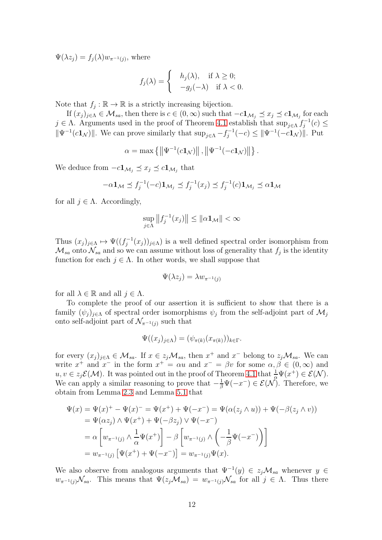$\Psi(\lambda z_j) = f_j(\lambda) w_{\pi^{-1}(j)}$ , where

$$
f_j(\lambda) = \begin{cases} h_j(\lambda), & \text{if } \lambda \ge 0; \\ -g_j(-\lambda) & \text{if } \lambda < 0. \end{cases}
$$

Note that  $f_j : \mathbb{R} \to \mathbb{R}$  is a strictly increasing bijection.

If  $(x_j)_{j\in\Lambda}\in\mathcal{M}_{sa}$ , then there is  $c\in(0,\infty)$  such that  $-c\mathbf{1}_{\mathcal{M}_j}\preceq x_j\preceq c\mathbf{1}_{\mathcal{M}_j}$  for each  $j \in \Lambda$ . Arguments used in the proof of Theorem [4.1](#page-8-0) establish that  $\sup_{j\in\Lambda} f_j^{-1}(c) \leq$  $\|\Psi^{-1}(c\mathbf{1}_{\mathcal{N}})\|$ . We can prove similarly that  $\sup_{j\in\Lambda}-f_j^{-1}(-c)\leq \|\Psi^{-1}(-c\mathbf{1}_{\mathcal{N}})\|$ . Put

$$
\alpha = \max \left\{ \left\| \Psi^{-1}(c\mathbf{1}_{\mathcal{N}}) \right\|, \left\| \Psi^{-1}(-c\mathbf{1}_{\mathcal{N}}) \right\| \right\}.
$$

We deduce from  $-c\mathbf{1}_{\mathcal{M}_j} \preceq x_j \preceq c\mathbf{1}_{\mathcal{M}_j}$  that

$$
-\alpha \mathbf{1}_{\mathcal{M}} \preceq f_j^{-1}(-c)\mathbf{1}_{\mathcal{M}_j} \preceq f_j^{-1}(x_j) \preceq f_j^{-1}(c)\mathbf{1}_{\mathcal{M}_j} \preceq \alpha \mathbf{1}_{\mathcal{M}}
$$

for all  $j \in \Lambda$ . Accordingly,

$$
\sup_{j\in\Lambda}||f_j^{-1}(x_j)|| \le ||\alpha \mathbf{1}_{\mathcal{M}}|| < \infty
$$

Thus  $(x_j)_{j\in\Lambda} \mapsto \Psi((f_j^{-1}(x_j))_{j\in\Lambda})$  is a well defined spectral order isomorphism from  $\mathcal{M}_{sa}$  onto  $\mathcal{N}_{sa}$  and so we can assume without loss of generality that  $f_j$  is the identity function for each  $j \in \Lambda$ . In other words, we shall suppose that

$$
\Psi(\lambda z_j) = \lambda w_{\pi^{-1}(j)}
$$

for all  $\lambda \in \mathbb{R}$  and all  $j \in \Lambda$ .

To complete the proof of our assertion it is sufficient to show that there is a family  $(\psi_j)_{j\in\Lambda}$  of spectral order isomorphisms  $\psi_j$  from the self-adjoint part of  $\mathcal{M}_j$ onto self-adjoint part of  $\mathcal{N}_{\pi^{-1}(i)}$  such that

$$
\Psi((x_j)_{j\in\Lambda})=(\psi_{\pi(k)}(x_{\pi(k)}))_{k\in\Gamma}.
$$

for every  $(x_j)_{j\in\Lambda} \in \mathcal{M}_{sa}$ . If  $x \in z_j \mathcal{M}_{sa}$ , then  $x^+$  and  $x^-$  belong to  $z_j \mathcal{M}_{sa}$ . We can write  $x^+$  and  $x^-$  in the form  $x^+ = \alpha u$  and  $x^- = \beta v$  for some  $\alpha, \beta \in (0, \infty)$  and  $u, v \in z_j \mathcal{E}(\mathcal{M})$ . It was pointed out in the proof of Theorem [4.1](#page-8-0) that  $\frac{1}{\alpha} \Psi(x^+) \in \mathcal{E}(\mathcal{N})$ . We can apply a similar reasoning to prove that  $-\frac{1}{\beta}\Psi(-x^{-})\in \mathcal{E}(\mathcal{N})$ . Therefore, we obtain from Lemma [2.3](#page-4-0) and Lemma [5.1](#page-10-0) that

$$
\Psi(x) = \Psi(x)^+ - \Psi(x)^- = \Psi(x^+) + \Psi(-x^-) = \Psi(\alpha(z_j \wedge u)) + \Psi(-\beta(z_j \wedge v))
$$
  
=  $\Psi(\alpha z_j) \wedge \Psi(x^+) + \Psi(-\beta z_j) \vee \Psi(-x^-)$   
=  $\alpha \left[ w_{\pi^{-1}(j)} \wedge \frac{1}{\alpha} \Psi(x^+) \right] - \beta \left[ w_{\pi^{-1}(j)} \wedge \left( -\frac{1}{\beta} \Psi(-x^-) \right) \right]$   
=  $w_{\pi^{-1}(j)} \left[ \Psi(x^+) + \Psi(-x^-) \right] = w_{\pi^{-1}(j)} \Psi(x).$ 

We also observe from analogous arguments that  $\Psi^{-1}(y) \in z_j \mathcal{M}_{sa}$  whenever  $y \in$  $w_{\pi^{-1}(i)}\mathcal{N}_{sa}$ . This means that  $\Psi(z_i\mathcal{M}_{sa}) = w_{\pi^{-1}(i)}\mathcal{N}_{sa}$  for all  $j \in \Lambda$ . Thus there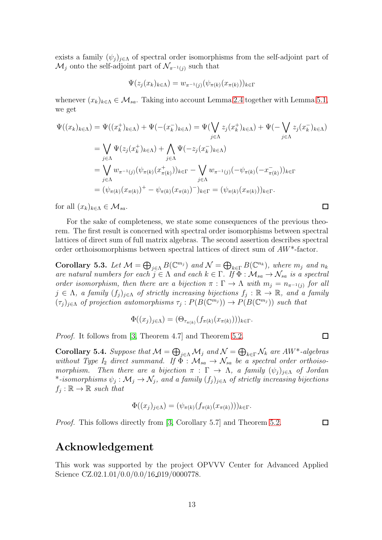exists a family  $(\psi_j)_{j\in\Lambda}$  of spectral order isomorphisms from the self-adjoint part of  $\mathcal{M}_i$  onto the self-adjoint part of  $\mathcal{N}_{\pi^{-1}(i)}$  such that

$$
\Psi(z_j(x_k)_{k\in\Lambda})=w_{\pi^{-1}(j)}(\psi_{\pi(k)}(x_{\pi(k)}))_{k\in\Gamma}
$$

whenever  $(x_k)_{k\in\Lambda} \in \mathcal{M}_{sa}$ . Taking into account Lemma [2.4](#page-4-2) together with Lemma [5.1,](#page-10-0) we get

$$
\Psi((x_k)_{k \in \Lambda}) = \Psi((x_k^+)_{k \in \Lambda}) + \Psi(-(x_k^-)_{k \in \Lambda}) = \Psi(\bigvee_{j \in \Lambda} z_j(x_k^+)_{k \in \Lambda}) + \Psi(-\bigvee_{j \in \Lambda} z_j(x_k^-)_{k \in \Lambda})
$$
\n
$$
= \bigvee_{j \in \Lambda} \Psi(z_j(x_k^+)_{k \in \Lambda}) + \bigwedge_{j \in \Lambda} \Psi(-z_j(x_k^-)_{k \in \Lambda})
$$
\n
$$
= \bigvee_{j \in \Lambda} w_{\pi^{-1}(j)}(\psi_{\pi(k)}(x_{\pi(k)}^+))_{k \in \Gamma} - \bigvee_{j \in \Lambda} w_{\pi^{-1}(j)}(-\psi_{\pi(k)}(-x_{\pi(k)}^-))_{k \in \Gamma}
$$
\n
$$
= (\psi_{\pi(k)}(x_{\pi(k)})^+ - \psi_{\pi(k)}(x_{\pi(k)})^-)_{k \in \Gamma} = (\psi_{\pi(k)}(x_{\pi(k)}))_{k \in \Gamma}.
$$

for all  $(x_k)_{k\in\Lambda}\in\mathcal{M}_{sa}$ .

For the sake of completeness, we state some consequences of the previous theorem. The first result is concerned with spectral order isomorphisms between spectral lattices of direct sum of full matrix algebras. The second assertion describes spectral order orthoisomorphisms between spectral lattices of direct sum of AW\*-factor.

Corollary 5.3. Let  $\mathcal{M} = \bigoplus_{j \in \Lambda} B(\mathbb{C}^{m_j})$  and  $\mathcal{N} = \bigoplus_{k \in \Gamma} B(\mathbb{C}^{n_k})$ , where  $m_j$  and  $n_k$ are natural numbers for each  $j \in \Lambda$  and each  $k \in \Gamma$ . If  $\Phi : \mathcal{M}_{sa} \to \mathcal{N}_{sa}$  is a spectral order isomorphism, then there are a bijection  $\pi : \Gamma \to \Lambda$  with  $m_j = n_{\pi^{-1}(j)}$  for all  $j \in \Lambda$ , a family  $(f_j)_{j \in \Lambda}$  of strictly increasing bijections  $f_j : \mathbb{R} \to \mathbb{R}$ , and a family  $(\tau_j)_{j\in\Lambda}$  of projection automorphisms  $\tau_j: P(B(\mathbb{C}^{m_j})) \to P(B(\mathbb{C}^{m_j}))$  such that

$$
\Phi((x_j)_{j\in\Lambda}) = (\Theta_{\tau_{\pi(k)}}(f_{\pi(k)}(x_{\pi(k)})))_{k\in\Gamma}.
$$

Proof. It follows from [\[3,](#page-13-4) Theorem 4.7] and Theorem [5.2.](#page-10-1)

Corollary 5.4. Suppose that  $\mathcal{M} = \bigoplus_{j \in \Lambda} \mathcal{M}_j$  and  $\mathcal{N} = \bigoplus_{k \in \Gamma} \mathcal{N}_k$  are AW\*-algebras without Type I<sub>2</sub> direct summand. If  $\Phi : \mathcal{M}_{sa} \to \mathcal{N}_{sa}$  be a spectral order orthoisomorphism. Then there are a bijection  $\pi : \Gamma \to \Lambda$ , a family  $(\psi_i)_{i \in \Lambda}$  of Jordan \*-isomorphisms  $\psi_j:\mathcal{M}_j\to \mathcal{N}_j$ , and a family  $(f_j)_{j\in \Lambda}$  of strictly increasing bijections  $f_j : \mathbb{R} \to \mathbb{R}$  such that

$$
\Phi((x_j)_{j\in\Lambda})=(\psi_{\pi(k)}(f_{\pi(k)}(x_{\pi(k)})))_{k\in\Gamma}.
$$

*Proof.* This follows directly from [\[3,](#page-13-4) Corollary 5.7] and Theorem [5.2.](#page-10-1)

 $\Box$ 

 $\Box$ 

 $\Box$ 

## Acknowledgement

This work was supported by the project OPVVV Center for Advanced Applied Science CZ.02.1.01/0.0/0.0/16\_019/0000778.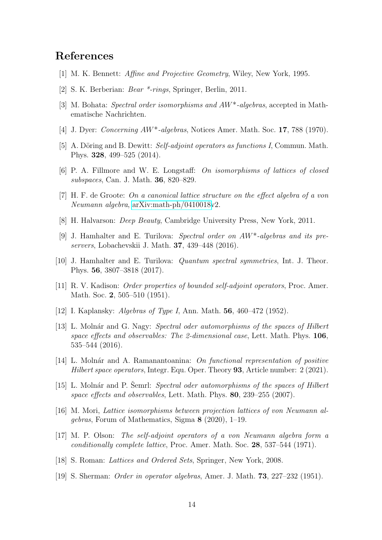# <span id="page-13-16"></span>References

- <span id="page-13-12"></span>[1] M. K. Bennett: Affine and Projective Geometry, Wiley, New York, 1995.
- <span id="page-13-4"></span>[2] S. K. Berberian: Bear \*-rings, Springer, Berlin, 2011.
- <span id="page-13-14"></span>[3] M. Bohata: Spectral order isomorphisms and AW\*-algebras, accepted in Mathematische Nachrichten.
- <span id="page-13-5"></span>[4] J. Dyer: *Concerning AW<sup>\*</sup>-algebras*, Notices Amer. Math. Soc. **17**, 788 (1970).
- <span id="page-13-17"></span>[5] A. Döring and B. Dewitt: Self-adjoint operators as functions I, Commun. Math. Phys. 328, 499–525 (2014).
- <span id="page-13-3"></span>[6] P. A. Fillmore and W. E. Longstaff: On isomorphisms of lattices of closed subspaces, Can. J. Math. 36, 820–829.
- <span id="page-13-6"></span>[7] H. F. de Groote: On a canonical lattice structure on the effect algebra of a von Neumann algebra, [arXiv:math-ph/0410018v](http://arxiv.org/abs/math-ph/0410018)2.
- <span id="page-13-10"></span>[8] H. Halvarson: Deep Beauty, Cambridge University Press, New York, 2011.
- [9] J. Hamhalter and E. Turilova: Spectral order on AW\*-algebras and its preservers, Lobachevskii J. Math. 37, 439–448 (2016).
- <span id="page-13-11"></span><span id="page-13-1"></span>[10] J. Hamhalter and E. Turilova: Quantum spectral symmetries, Int. J. Theor. Phys. 56, 3807–3818 (2017).
- <span id="page-13-13"></span>[11] R. V. Kadison: Order properties of bounded self-adjoint operators, Proc. Amer. Math. Soc. 2, 505–510 (1951).
- <span id="page-13-8"></span>[12] I. Kaplansky: Algebras of Type I, Ann. Math. 56, 460–472 (1952).
- [13] L. Molnár and G. Nagy: Spectral oder automorphisms of the spaces of Hilbert space effects and observables: The 2-dimensional case, Lett. Math. Phys. 106, 535–544 (2016).
- <span id="page-13-9"></span>[14] L. Molnár and A. Ramanantoanina: On functional representation of positive Hilbert space operators, Integr. Equ. Oper. Theory 93, Article number: 2 (2021).
- <span id="page-13-7"></span>[15] L. Molnár and P. Semrl: Spectral oder automorphisms of the spaces of Hilbert space effects and observables, Lett. Math. Phys. 80, 239–255 (2007).
- <span id="page-13-18"></span>[16] M. Mori, Lattice isomorphisms between projection lattices of von Neumann algebras, Forum of Mathematics, Sigma 8 (2020), 1–19.
- <span id="page-13-0"></span>[17] M. P. Olson: The self-adjoint operators of a von Neumann algebra form a conditionally complete lattice, Proc. Amer. Math. Soc. 28, 537–544 (1971).
- <span id="page-13-15"></span><span id="page-13-2"></span>[18] S. Roman: Lattices and Ordered Sets, Springer, New York, 2008.
- [19] S. Sherman: Order in operator algebras, Amer. J. Math. 73, 227–232 (1951).